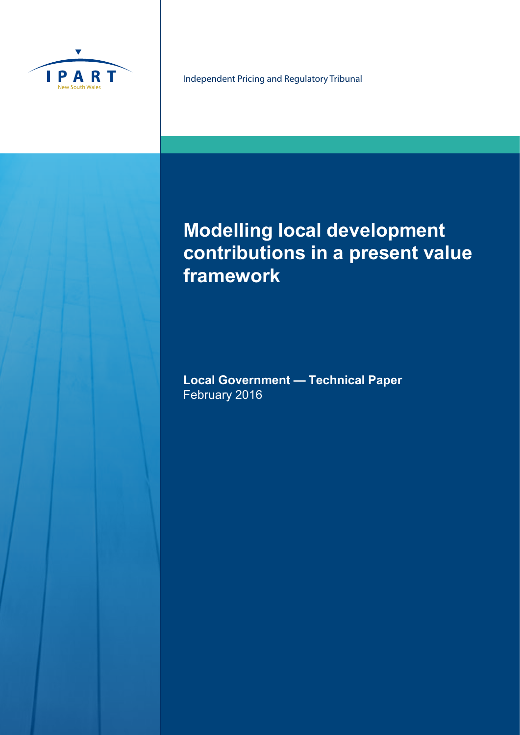

Independent Pricing and Regulatory Tribunal

# **Modelling local development contributions in a present value framework**

**Local Government — Technical Paper**  February 2016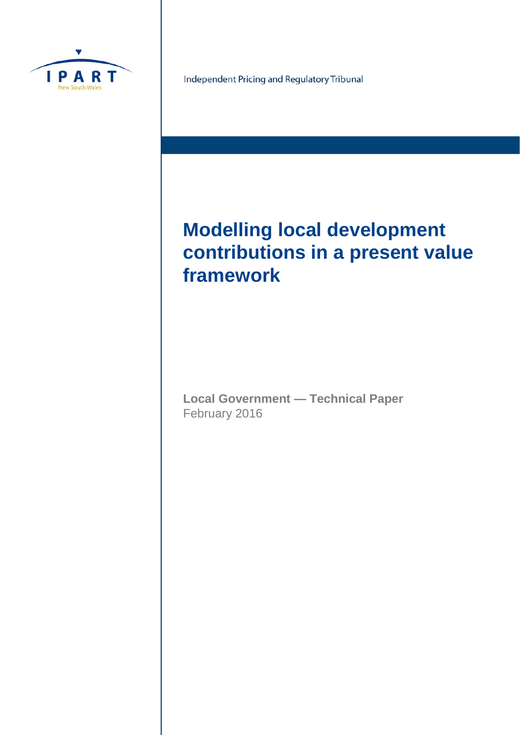

Independent Pricing and Regulatory Tribunal

# **Modelling local development contributions in a present value framework**

**Local Government — Technical Paper** February 2016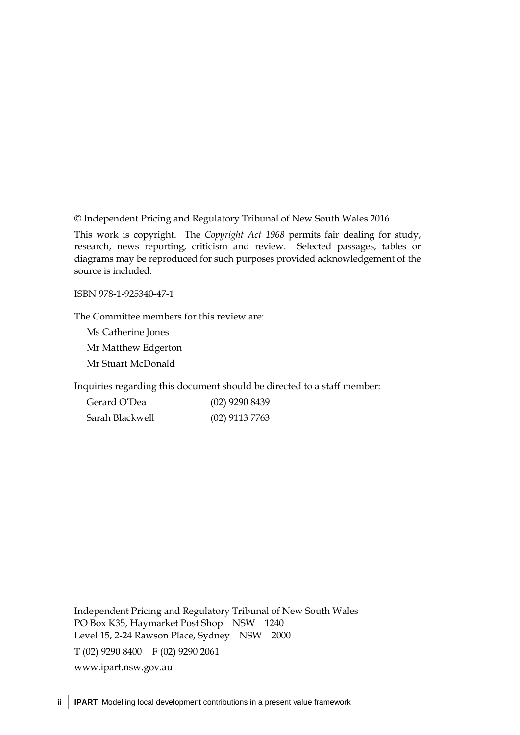© Independent Pricing and Regulatory Tribunal of New South Wales 2016

This work is copyright. The *Copyright Act 1968* permits fair dealing for study, research, news reporting, criticism and review. Selected passages, tables or diagrams may be reproduced for such purposes provided acknowledgement of the source is included.

ISBN 978-1-925340-47-1

The Committee members for this review are:

Ms Catherine Jones Mr Matthew Edgerton Mr Stuart McDonald

Inquiries regarding this document should be directed to a staff member:

| Gerard O'Dea    | $(02)$ 9290 8439 |
|-----------------|------------------|
| Sarah Blackwell | $(02)$ 9113 7763 |

Independent Pricing and Regulatory Tribunal of New South Wales PO Box K35, Haymarket Post Shop NSW 1240 Level 15, 2-24 Rawson Place, Sydney NSW 2000 T (02) 9290 8400 F (02) 9290 2061 [www.ipart.nsw.gov.au](http://www.ipart.nsw.gov.au/)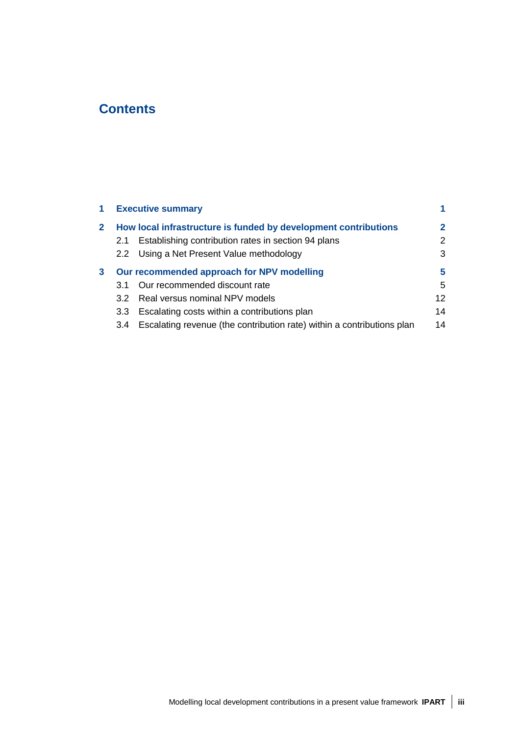# **Contents**

| 1            |     | <b>Executive summary</b>                                               |                      |
|--------------|-----|------------------------------------------------------------------------|----------------------|
| $\mathbf{2}$ |     | How local infrastructure is funded by development contributions        | $\mathbf{2}^{\circ}$ |
|              | 2.1 | Establishing contribution rates in section 94 plans                    | 2                    |
|              |     | 2.2 Using a Net Present Value methodology                              | 3                    |
| 3            |     | Our recommended approach for NPV modelling                             | 5                    |
|              | 3.1 | Our recommended discount rate                                          | 5                    |
|              | 3.2 | Real versus nominal NPV models                                         | 12 <sup>°</sup>      |
|              | 3.3 | Escalating costs within a contributions plan                           | 14                   |
|              | 3.4 | Escalating revenue (the contribution rate) within a contributions plan | 14                   |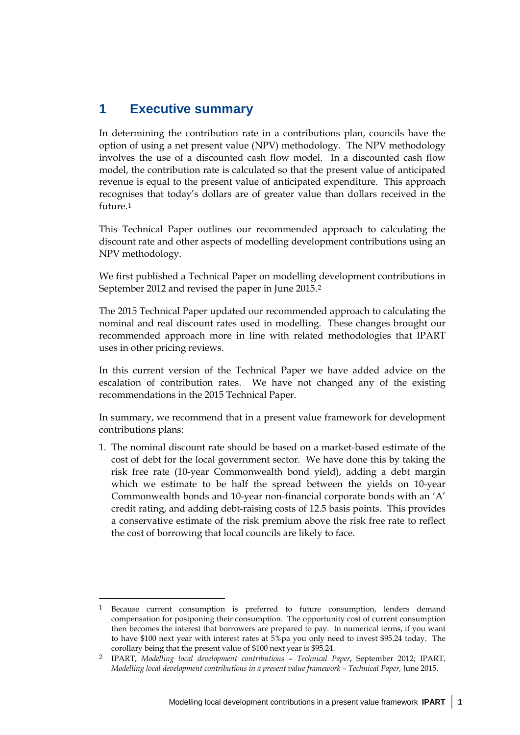# **1 Executive summary**

1

In determining the contribution rate in a contributions plan, councils have the option of using a net present value (NPV) methodology. The NPV methodology involves the use of a discounted cash flow model. In a discounted cash flow model, the contribution rate is calculated so that the present value of anticipated revenue is equal to the present value of anticipated expenditure. This approach recognises that today's dollars are of greater value than dollars received in the future.[1](#page-6-0)

This Technical Paper outlines our recommended approach to calculating the discount rate and other aspects of modelling development contributions using an NPV methodology.

We first published a Technical Paper on modelling development contributions in September 2012 and revised the paper in June 2015.[2](#page-6-1)

The 2015 Technical Paper updated our recommended approach to calculating the nominal and real discount rates used in modelling. These changes brought our recommended approach more in line with related methodologies that IPART uses in other pricing reviews.

In this current version of the Technical Paper we have added advice on the escalation of contribution rates. We have not changed any of the existing recommendations in the 2015 Technical Paper.

In summary, we recommend that in a present value framework for development contributions plans:

1. The nominal discount rate should be based on a market-based estimate of the cost of debt for the local government sector. We have done this by taking the risk free rate (10-year Commonwealth bond yield), adding a debt margin which we estimate to be half the spread between the yields on 10-year Commonwealth bonds and 10-year non-financial corporate bonds with an 'A' credit rating, and adding debt-raising costs of 12.5 basis points. This provides a conservative estimate of the risk premium above the risk free rate to reflect the cost of borrowing that local councils are likely to face.

<span id="page-6-0"></span><sup>1</sup> Because current consumption is preferred to future consumption, lenders demand compensation for postponing their consumption. The opportunity cost of current consumption then becomes the interest that borrowers are prepared to pay. In numerical terms, if you want to have \$100 next year with interest rates at 5%pa you only need to invest \$95.24 today. The corollary being that the present value of \$100 next year is \$95.24.

<span id="page-6-1"></span><sup>2</sup> IPART, *Modelling local development contributions* – *Technical Paper*, September 2012; IPART, *Modelling local development contributions in a present value framework* – *Technical Paper*, June 2015.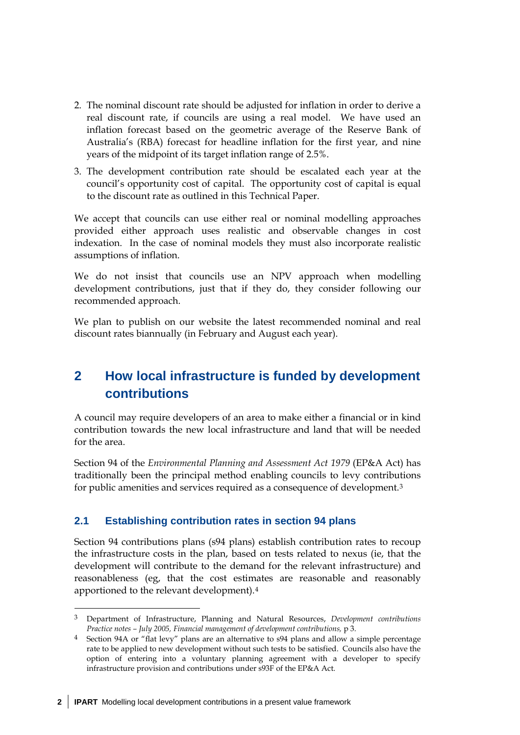- 2. The nominal discount rate should be adjusted for inflation in order to derive a real discount rate, if councils are using a real model. We have used an inflation forecast based on the geometric average of the Reserve Bank of Australia's (RBA) forecast for headline inflation for the first year, and nine years of the midpoint of its target inflation range of 2.5%.
- 3. The development contribution rate should be escalated each year at the council's opportunity cost of capital. The opportunity cost of capital is equal to the discount rate as outlined in this Technical Paper.

We accept that councils can use either real or nominal modelling approaches provided either approach uses realistic and observable changes in cost indexation. In the case of nominal models they must also incorporate realistic assumptions of inflation.

We do not insist that councils use an NPV approach when modelling development contributions, just that if they do, they consider following our recommended approach.

We plan to publish on our website the latest recommended nominal and real discount rates biannually (in February and August each year).

# **2 How local infrastructure is funded by development contributions**

A council may require developers of an area to make either a financial or in kind contribution towards the new local infrastructure and land that will be needed for the area.

Section 94 of the *Environmental Planning and Assessment Act 1979* (EP&A Act) has traditionally been the principal method enabling councils to levy contributions for public amenities and services required as a consequence of development.[3](#page-7-0)

## **2.1 Establishing contribution rates in section 94 plans**

Section 94 contributions plans (s94 plans) establish contribution rates to recoup the infrastructure costs in the plan, based on tests related to nexus (ie, that the development will contribute to the demand for the relevant infrastructure) and reasonableness (eg, that the cost estimates are reasonable and reasonably apportioned to the relevant development).[4](#page-7-1)

-

<span id="page-7-0"></span><sup>3</sup> Department of Infrastructure, Planning and Natural Resources, *Development contributions Practice notes – July 2005, Financial management of development contributions,* p 3.

<span id="page-7-1"></span><sup>4</sup> Section 94A or "flat levy" plans are an alternative to s94 plans and allow a simple percentage rate to be applied to new development without such tests to be satisfied. Councils also have the option of entering into a voluntary planning agreement with a developer to specify infrastructure provision and contributions under s93F of the EP&A Act.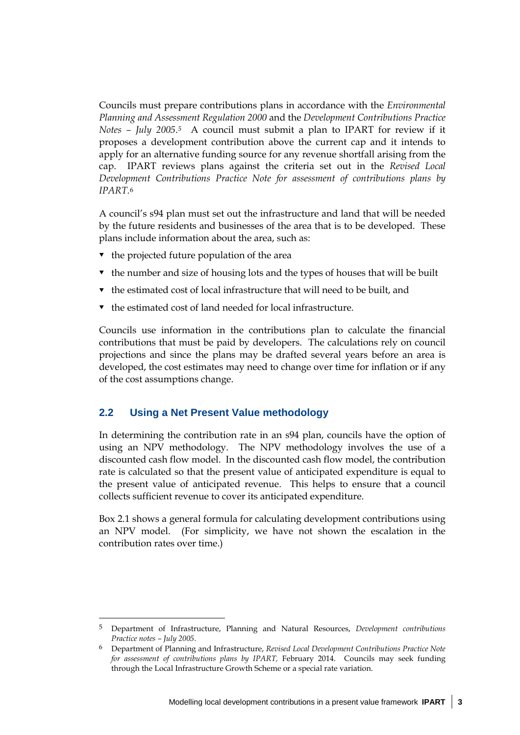Councils must prepare contributions plans in accordance with the *Environmental Planning and Assessment Regulation 2000* and the *Development Contributions Practice Notes – July 2005*.*[5](#page-8-0)* A council must submit a plan to IPART for review if it proposes a development contribution above the current cap and it intends to apply for an alternative funding source for any revenue shortfall arising from the cap. IPART reviews plans against the criteria set out in the *Revised Local Development Contributions Practice Note for assessment of contributions plans by IPART.*[6](#page-8-1)

A council's s94 plan must set out the infrastructure and land that will be needed by the future residents and businesses of the area that is to be developed. These plans include information about the area, such as:

- $\bullet$  the projected future population of the area
- $\bullet$  the number and size of housing lots and the types of houses that will be built
- $\bullet$  the estimated cost of local infrastructure that will need to be built, and
- $\bullet$  the estimated cost of land needed for local infrastructure.

Councils use information in the contributions plan to calculate the financial contributions that must be paid by developers. The calculations rely on council projections and since the plans may be drafted several years before an area is developed, the cost estimates may need to change over time for inflation or if any of the cost assumptions change.

#### **2.2 Using a Net Present Value methodology**

 $\overline{a}$ 

In determining the contribution rate in an s94 plan, councils have the option of using an NPV methodology. The NPV methodology involves the use of a discounted cash flow model. In the discounted cash flow model, the contribution rate is calculated so that the present value of anticipated expenditure is equal to the present value of anticipated revenue. This helps to ensure that a council collects sufficient revenue to cover its anticipated expenditure.

Box 2.1 shows a general formula for calculating development contributions using an NPV model. (For simplicity, we have not shown the escalation in the contribution rates over time.)

<span id="page-8-0"></span><sup>5</sup> Department of Infrastructure, Planning and Natural Resources, *Development contributions Practice notes – July 2005*.

<span id="page-8-1"></span><sup>6</sup> Department of Planning and Infrastructure, *Revised Local Development Contributions Practice Note for assessment of contributions plans by IPART,* February 2014. Councils may seek funding through the Local Infrastructure Growth Scheme or a special rate variation.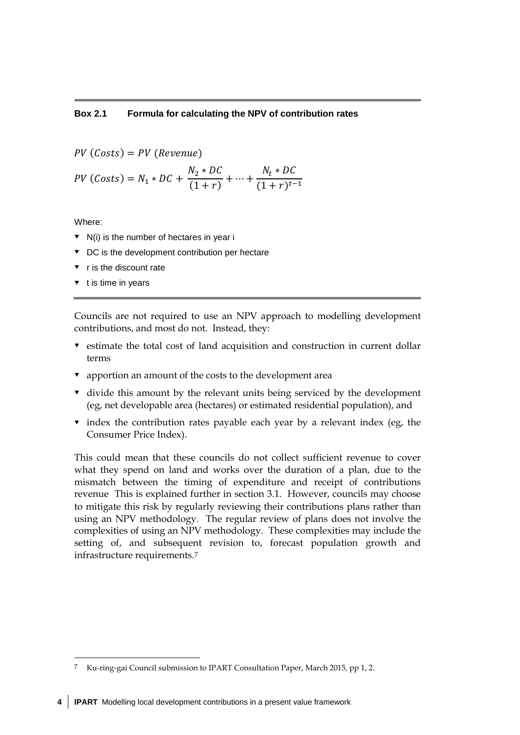#### **Box 2.1 Formula for calculating the NPV of contribution rates**

 $PV (Costs) = PV (Revenue)$ 

$$
PV (Costs) = N_1 * DC + \frac{N_2 * DC}{(1+r)} + \dots + \frac{N_t * DC}{(1+r)^{t-1}}
$$

Where:

<u>.</u>

- $\triangledown$  N(i) is the number of hectares in year i
- $\bullet$  DC is the development contribution per hectare
- r is the discount rate
- t is time in years

Councils are not required to use an NPV approach to modelling development contributions, and most do not. Instead, they:

- $\bullet$  estimate the total cost of land acquisition and construction in current dollar terms
- apportion an amount of the costs to the development area
- $\bullet$  divide this amount by the relevant units being serviced by the development (eg, net developable area (hectares) or estimated residential population), and
- $\bullet$  index the contribution rates payable each year by a relevant index (eg, the Consumer Price Index).

This could mean that these councils do not collect sufficient revenue to cover what they spend on land and works over the duration of a plan, due to the mismatch between the timing of expenditure and receipt of contributions revenue This is explained further in section 3.1. However, councils may choose to mitigate this risk by regularly reviewing their contributions plans rather than using an NPV methodology. The regular review of plans does not involve the complexities of using an NPV methodology. These complexities may include the setting of, and subsequent revision to, forecast population growth and infrastructure requirements.[7](#page-9-0)

<span id="page-9-0"></span><sup>7</sup> Ku-ring-gai Council submission to IPART Consultation Paper, March 2015*,* pp 1, 2.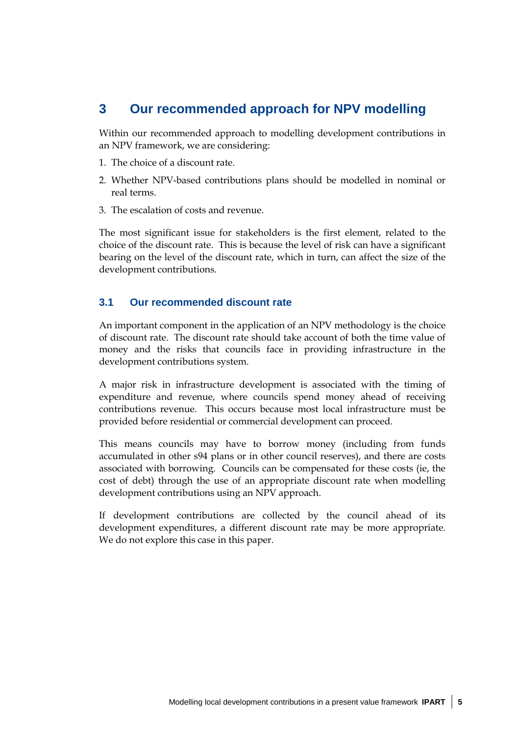## **3 Our recommended approach for NPV modelling**

Within our recommended approach to modelling development contributions in an NPV framework, we are considering:

- 1. The choice of a discount rate.
- 2. Whether NPV-based contributions plans should be modelled in nominal or real terms.
- 3. The escalation of costs and revenue.

The most significant issue for stakeholders is the first element, related to the choice of the discount rate. This is because the level of risk can have a significant bearing on the level of the discount rate, which in turn, can affect the size of the development contributions.

### <span id="page-10-0"></span>**3.1 Our recommended discount rate**

An important component in the application of an NPV methodology is the choice of discount rate. The discount rate should take account of both the time value of money and the risks that councils face in providing infrastructure in the development contributions system.

A major risk in infrastructure development is associated with the timing of expenditure and revenue, where councils spend money ahead of receiving contributions revenue. This occurs because most local infrastructure must be provided before residential or commercial development can proceed.

This means councils may have to borrow money (including from funds accumulated in other s94 plans or in other council reserves), and there are costs associated with borrowing. Councils can be compensated for these costs (ie, the cost of debt) through the use of an appropriate discount rate when modelling development contributions using an NPV approach.

If development contributions are collected by the council ahead of its development expenditures, a different discount rate may be more appropriate. We do not explore this case in this paper.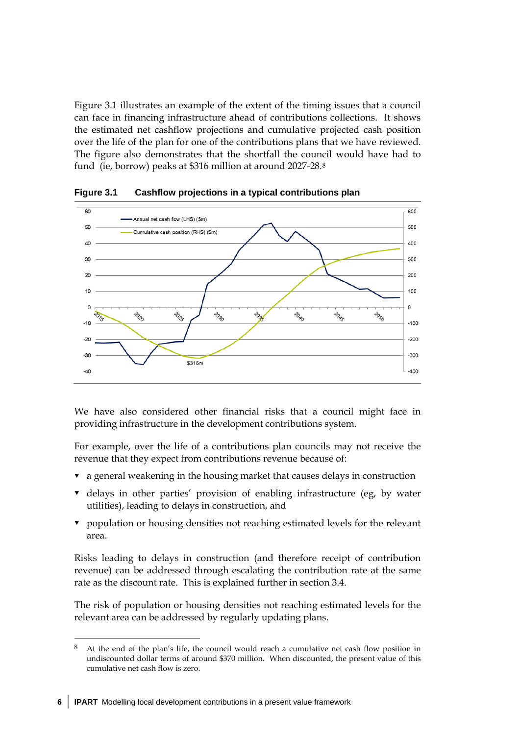Figure 3.1 illustrates an example of the extent of the timing issues that a council can face in financing infrastructure ahead of contributions collections. It shows the estimated net cashflow projections and cumulative projected cash position over the life of the plan for one of the contributions plans that we have reviewed. The figure also demonstrates that the shortfall the council would have had to fund (ie, borrow) peaks at \$316 million at around 2027-28.[8](#page-11-0)



**Figure 3.1 Cashflow projections in a typical contributions plan**

We have also considered other financial risks that a council might face in providing infrastructure in the development contributions system.

For example, over the life of a contributions plan councils may not receive the revenue that they expect from contributions revenue because of:

- $\bullet$  a general weakening in the housing market that causes delays in construction
- $\bullet$  delays in other parties' provision of enabling infrastructure (eg, by water utilities), leading to delays in construction, and
- **v** population or housing densities not reaching estimated levels for the relevant area.

Risks leading to delays in construction (and therefore receipt of contribution revenue) can be addressed through escalating the contribution rate at the same rate as the discount rate. This is explained further in section [3.4.](#page-19-0)

The risk of population or housing densities not reaching estimated levels for the relevant area can be addressed by regularly updating plans.

-

<span id="page-11-0"></span><sup>8</sup> At the end of the plan's life, the council would reach a cumulative net cash flow position in undiscounted dollar terms of around \$370 million. When discounted, the present value of this cumulative net cash flow is zero.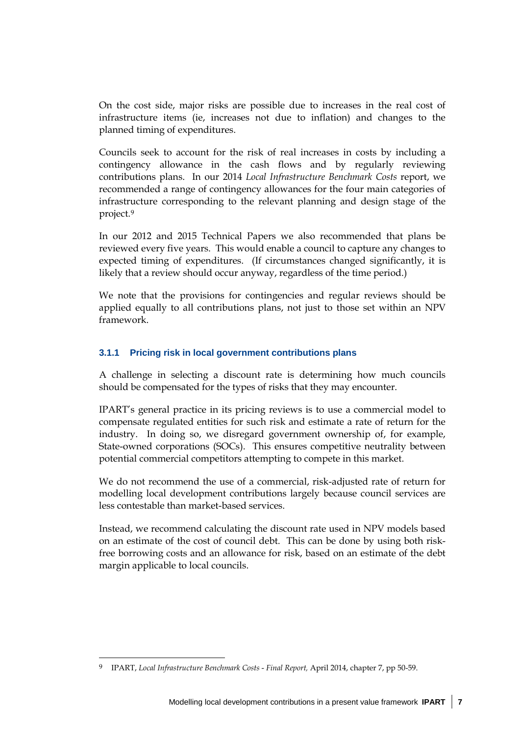On the cost side, major risks are possible due to increases in the real cost of infrastructure items (ie, increases not due to inflation) and changes to the planned timing of expenditures.

Councils seek to account for the risk of real increases in costs by including a contingency allowance in the cash flows and by regularly reviewing contributions plans. In our 2014 *Local Infrastructure Benchmark Costs* report, we recommended a range of contingency allowances for the four main categories of infrastructure corresponding to the relevant planning and design stage of the project.[9](#page-12-0)

In our 2012 and 2015 Technical Papers we also recommended that plans be reviewed every five years. This would enable a council to capture any changes to expected timing of expenditures. (If circumstances changed significantly, it is likely that a review should occur anyway, regardless of the time period.)

We note that the provisions for contingencies and regular reviews should be applied equally to all contributions plans, not just to those set within an NPV framework.

### **3.1.1 Pricing risk in local government contributions plans**

A challenge in selecting a discount rate is determining how much councils should be compensated for the types of risks that they may encounter.

IPART's general practice in its pricing reviews is to use a commercial model to compensate regulated entities for such risk and estimate a rate of return for the industry. In doing so, we disregard government ownership of, for example, State-owned corporations (SOCs). This ensures competitive neutrality between potential commercial competitors attempting to compete in this market.

We do not recommend the use of a commercial, risk-adjusted rate of return for modelling local development contributions largely because council services are less contestable than market-based services.

Instead, we recommend calculating the discount rate used in NPV models based on an estimate of the cost of council debt. This can be done by using both riskfree borrowing costs and an allowance for risk, based on an estimate of the debt margin applicable to local councils.

 $\overline{a}$ 

<span id="page-12-0"></span><sup>9</sup> IPART, *Local Infrastructure Benchmark Costs* - *Final Report,* April 2014, chapter 7, pp 50-59.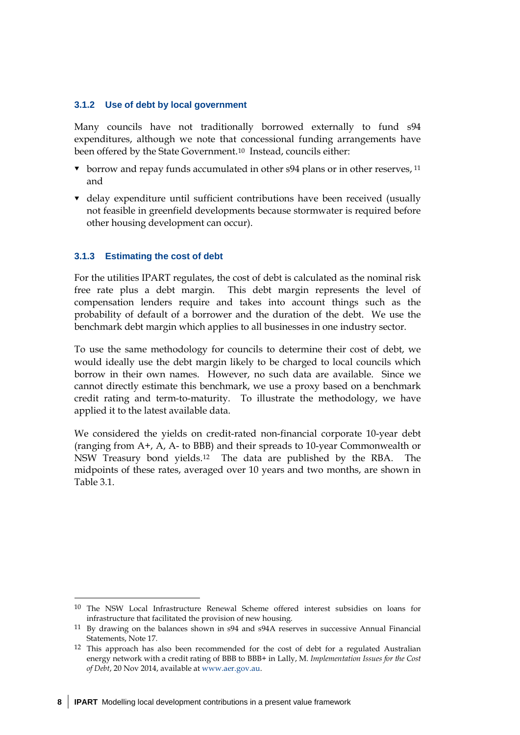#### **3.1.2 Use of debt by local government**

Many councils have not traditionally borrowed externally to fund s94 expenditures, although we note that concessional funding arrangements have been offered by the State Government.[10](#page-13-0) Instead, councils either:

- borrow and repay funds accumulated in other s94 plans or in other reserves, <sup>[11](#page-13-1)</sup> and
- delay expenditure until sufficient contributions have been received (usually not feasible in greenfield developments because stormwater is required before other housing development can occur).

#### **3.1.3 Estimating the cost of debt**

-

For the utilities IPART regulates, the cost of debt is calculated as the nominal risk free rate plus a debt margin. This debt margin represents the level of compensation lenders require and takes into account things such as the probability of default of a borrower and the duration of the debt. We use the benchmark debt margin which applies to all businesses in one industry sector.

To use the same methodology for councils to determine their cost of debt, we would ideally use the debt margin likely to be charged to local councils which borrow in their own names. However, no such data are available. Since we cannot directly estimate this benchmark, we use a proxy based on a benchmark credit rating and term-to-maturity. To illustrate the methodology, we have applied it to the latest available data.

We considered the yields on credit-rated non-financial corporate 10-year debt (ranging from A+, A, A- to BBB) and their spreads to 10-year Commonwealth or NSW Treasury bond yields[.12](#page-13-2) The data are published by the RBA. The midpoints of these rates, averaged over 10 years and two months, are shown in Table 3.1.

<span id="page-13-0"></span><sup>10</sup> The NSW Local Infrastructure Renewal Scheme offered interest subsidies on loans for infrastructure that facilitated the provision of new housing.

<span id="page-13-1"></span><sup>11</sup> By drawing on the balances shown in s94 and s94A reserves in successive Annual Financial Statements, Note 17.

<span id="page-13-2"></span><sup>12</sup> This approach has also been recommended for the cost of debt for a regulated Australian energy network with a credit rating of BBB to BBB+ in Lally, M. *Implementation Issues for the Cost of Debt*, 20 Nov 2014, available a[t www.aer.gov.au.](http://www.aer.gov.au/)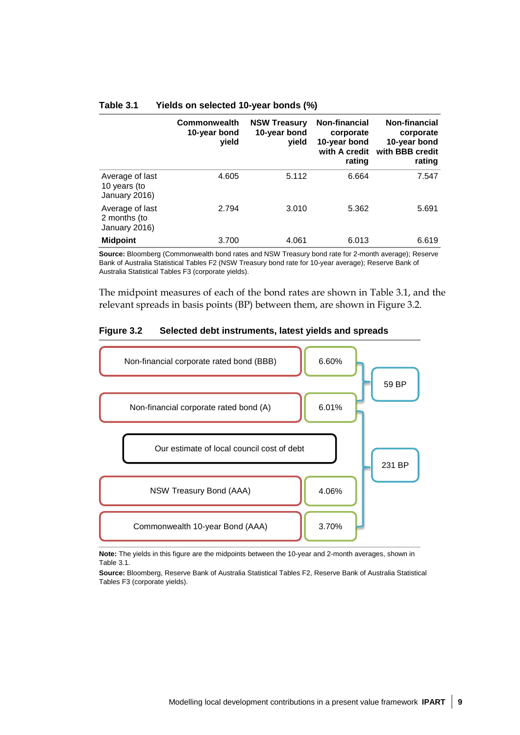|                                                  | Commonwealth<br>10-year bond<br>yield | <b>NSW Treasury</b><br>10-year bond<br>vield | Non-financial<br>corporate<br>10-year bond<br>with A credit<br>rating | Non-financial<br>corporate<br>10-year bond<br>with BBB credit<br>rating |
|--------------------------------------------------|---------------------------------------|----------------------------------------------|-----------------------------------------------------------------------|-------------------------------------------------------------------------|
| Average of last<br>10 years (to<br>January 2016) | 4.605                                 | 5.112                                        | 6.664                                                                 | 7.547                                                                   |
| Average of last<br>2 months (to<br>January 2016) | 2.794                                 | 3.010                                        | 5.362                                                                 | 5.691                                                                   |
| <b>Midpoint</b>                                  | 3.700                                 | 4.061                                        | 6.013                                                                 | 6.619                                                                   |

#### **Table 3.1 Yields on selected 10-year bonds (%)**

**Source:** Bloomberg (Commonwealth bond rates and NSW Treasury bond rate for 2-month average); Reserve Bank of Australia Statistical Tables F2 (NSW Treasury bond rate for 10-year average); Reserve Bank of Australia Statistical Tables F3 (corporate yields).

The midpoint measures of each of the bond rates are shown in Table 3.1, and the relevant spreads in basis points (BP) between them, are shown in Figure 3.2.

#### **Figure 3.2 Selected debt instruments, latest yields and spreads**



**Note:** The yields in this figure are the midpoints between the 10-year and 2-month averages, shown in Table 3.1.

**Source:** Bloomberg, Reserve Bank of Australia Statistical Tables F2, Reserve Bank of Australia Statistical Tables F3 (corporate yields).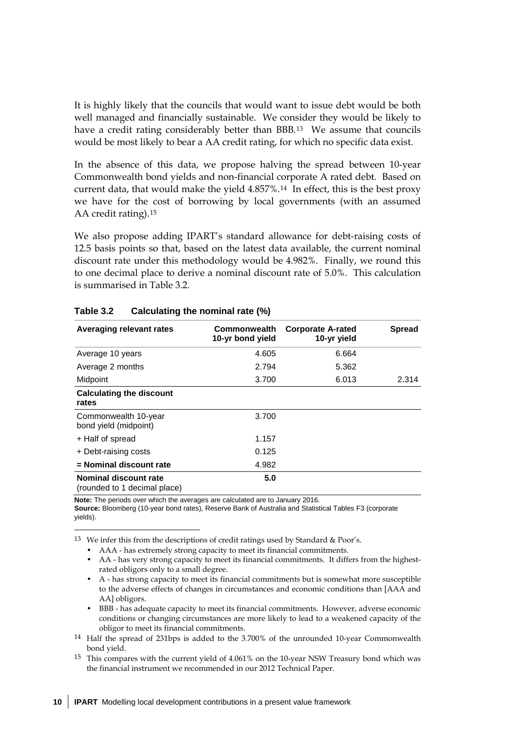It is highly likely that the councils that would want to issue debt would be both well managed and financially sustainable. We consider they would be likely to have a credit rating considerably better than BBB.<sup>13</sup> We assume that councils would be most likely to bear a AA credit rating, for which no specific data exist.

In the absence of this data, we propose halving the spread between 10-year Commonwealth bond yields and non-financial corporate A rated debt. Based on current data, that would make the yield 4.857%.[14](#page-15-1) In effect, this is the best proxy we have for the cost of borrowing by local governments (with an assumed AA credit rating).[15](#page-15-2)

We also propose adding IPART's standard allowance for debt-raising costs of 12.5 basis points so that, based on the latest data available, the current nominal discount rate under this methodology would be 4.982%. Finally, we round this to one decimal place to derive a nominal discount rate of 5.0%. This calculation is summarised in Table 3.2.

| <b>Averaging relevant rates</b>                       | Commonwealth<br>10-yr bond yield | <b>Corporate A-rated</b><br>10-yr yield | <b>Spread</b> |
|-------------------------------------------------------|----------------------------------|-----------------------------------------|---------------|
| Average 10 years                                      | 4.605                            | 6.664                                   |               |
| Average 2 months                                      | 2.794                            | 5.362                                   |               |
| Midpoint                                              | 3.700                            | 6.013                                   | 2.314         |
| <b>Calculating the discount</b><br>rates              |                                  |                                         |               |
| Commonwealth 10-year<br>bond yield (midpoint)         | 3.700                            |                                         |               |
| + Half of spread                                      | 1.157                            |                                         |               |
| + Debt-raising costs                                  | 0.125                            |                                         |               |
| = Nominal discount rate                               | 4.982                            |                                         |               |
| Nominal discount rate<br>(rounded to 1 decimal place) | 5.0                              |                                         |               |

#### **Table 3.2 Calculating the nominal rate (%)**

**Note:** The periods over which the averages are calculated are to January 2016.

-

**Source:** Bloomberg (10-year bond rates), Reserve Bank of Australia and Statistical Tables F3 (corporate yields).

<span id="page-15-0"></span>13 We infer this from the descriptions of credit ratings used by Standard & Poor's.

• AAA - has extremely strong capacity to meet its financial commitments.

• AA - has very strong capacity to meet its financial commitments. It differs from the highestrated obligors only to a small degree.

- A has strong capacity to meet its financial commitments but is somewhat more susceptible to the adverse effects of changes in circumstances and economic conditions than [AAA and AA] obligors.
- BBB has adequate capacity to meet its financial commitments. However, adverse economic conditions or changing circumstances are more likely to lead to a weakened capacity of the obligor to meet its financial commitments.
- <span id="page-15-1"></span>14 Half the spread of 231bps is added to the 3.700% of the unrounded 10-year Commonwealth bond yield.

<span id="page-15-2"></span>15 This compares with the current yield of 4.061% on the 10-year NSW Treasury bond which was the financial instrument we recommended in our 2012 Technical Paper.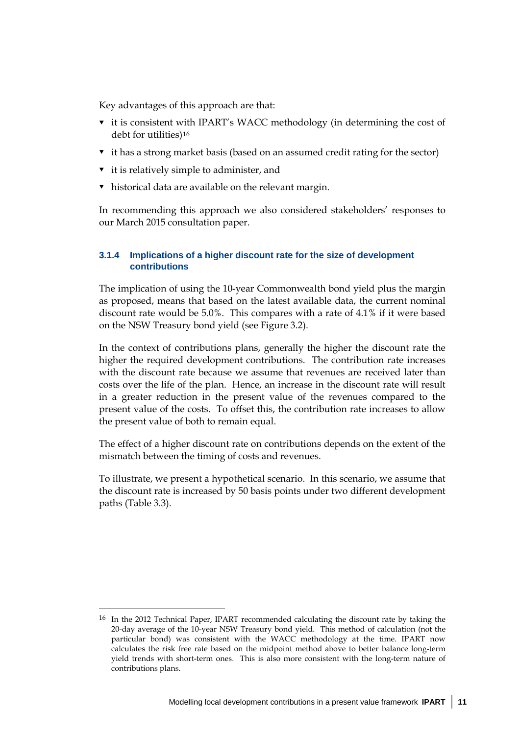Key advantages of this approach are that:

- **v** it is consistent with IPART's WACC methodology (in determining the cost of debt for utilities)[16](#page-16-0)
- it has a strong market basis (based on an assumed credit rating for the sector)
- $\bullet$  it is relatively simple to administer, and

 $\overline{a}$ 

historical data are available on the relevant margin.

In recommending this approach we also considered stakeholders' responses to our March 2015 consultation paper.

### **3.1.4 Implications of a higher discount rate for the size of development contributions**

The implication of using the 10-year Commonwealth bond yield plus the margin as proposed, means that based on the latest available data, the current nominal discount rate would be 5.0%. This compares with a rate of 4.1% if it were based on the NSW Treasury bond yield (see Figure 3.2).

In the context of contributions plans, generally the higher the discount rate the higher the required development contributions. The contribution rate increases with the discount rate because we assume that revenues are received later than costs over the life of the plan. Hence, an increase in the discount rate will result in a greater reduction in the present value of the revenues compared to the present value of the costs. To offset this, the contribution rate increases to allow the present value of both to remain equal.

The effect of a higher discount rate on contributions depends on the extent of the mismatch between the timing of costs and revenues.

To illustrate, we present a hypothetical scenario. In this scenario, we assume that the discount rate is increased by 50 basis points under two different development paths (Table 3.3).

<span id="page-16-0"></span><sup>16</sup> In the 2012 Technical Paper, IPART recommended calculating the discount rate by taking the 20-day average of the 10-year NSW Treasury bond yield. This method of calculation (not the particular bond) was consistent with the WACC methodology at the time. IPART now calculates the risk free rate based on the midpoint method above to better balance long-term yield trends with short-term ones. This is also more consistent with the long-term nature of contributions plans.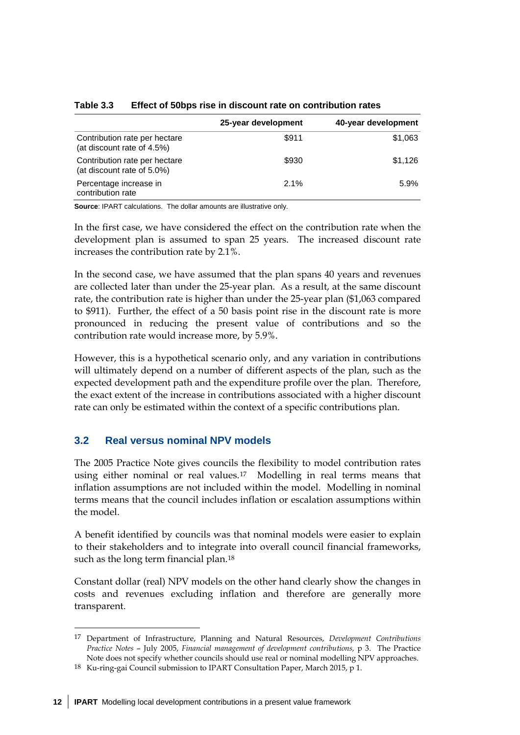|                                                             | 25-year development | 40-year development |
|-------------------------------------------------------------|---------------------|---------------------|
| Contribution rate per hectare<br>(at discount rate of 4.5%) | \$911               | \$1,063             |
| Contribution rate per hectare<br>(at discount rate of 5.0%) | \$930               | \$1,126             |
| Percentage increase in<br>contribution rate                 | $2.1\%$             | 5.9%                |

**Table 3.3 Effect of 50bps rise in discount rate on contribution rates**

**Source**: IPART calculations. The dollar amounts are illustrative only.

In the first case, we have considered the effect on the contribution rate when the development plan is assumed to span 25 years. The increased discount rate increases the contribution rate by 2.1%.

In the second case, we have assumed that the plan spans 40 years and revenues are collected later than under the 25-year plan. As a result, at the same discount rate, the contribution rate is higher than under the 25-year plan (\$1,063 compared to \$911). Further, the effect of a 50 basis point rise in the discount rate is more pronounced in reducing the present value of contributions and so the contribution rate would increase more, by 5.9%.

However, this is a hypothetical scenario only, and any variation in contributions will ultimately depend on a number of different aspects of the plan, such as the expected development path and the expenditure profile over the plan. Therefore, the exact extent of the increase in contributions associated with a higher discount rate can only be estimated within the context of a specific contributions plan.

## **3.2 Real versus nominal NPV models**

-

The 2005 Practice Note gives councils the flexibility to model contribution rates using either nominal or real values.[17](#page-17-0) Modelling in real terms means that inflation assumptions are not included within the model. Modelling in nominal terms means that the council includes inflation or escalation assumptions within the model.

A benefit identified by councils was that nominal models were easier to explain to their stakeholders and to integrate into overall council financial frameworks, such as the long term financial plan.[18](#page-17-1)

Constant dollar (real) NPV models on the other hand clearly show the changes in costs and revenues excluding inflation and therefore are generally more transparent.

<span id="page-17-0"></span><sup>17</sup> Department of Infrastructure, Planning and Natural Resources, *Development Contributions Practice Notes* – July 2005, *Financial management of development contributions,* p 3. The Practice Note does not specify whether councils should use real or nominal modelling NPV approaches.

<span id="page-17-1"></span><sup>18</sup> Ku-ring-gai Council submission to IPART Consultation Paper, March 2015, p 1.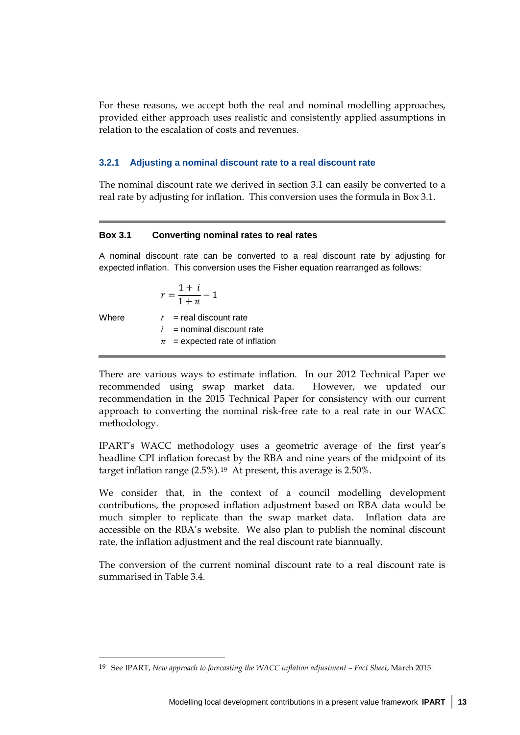For these reasons, we accept both the real and nominal modelling approaches, provided either approach uses realistic and consistently applied assumptions in relation to the escalation of costs and revenues.

#### **3.2.1 Adjusting a nominal discount rate to a real discount rate**

The nominal discount rate we derived in section [3.1](#page-10-0) can easily be converted to a real rate by adjusting for inflation. This conversion uses the formula in Box 3.1.

#### **Box 3.1 Converting nominal rates to real rates**

A nominal discount rate can be converted to a real discount rate by adjusting for expected inflation. This conversion uses the Fisher equation rearranged as follows:

$$
r = \frac{1+i}{1+\pi} - 1
$$

 $\overline{a}$ 

Where  $r =$  real discount rate  $i =$  nominal discount rate  $\pi$  = expected rate of inflation

There are various ways to estimate inflation. In our 2012 Technical Paper we recommended using swap market data. However, we updated our recommendation in the 2015 Technical Paper for consistency with our current approach to converting the nominal risk-free rate to a real rate in our WACC methodology.

IPART's WACC methodology uses a geometric average of the first year's headline CPI inflation forecast by the RBA and nine years of the midpoint of its target inflation range (2.5%).[19](#page-18-0) At present, this average is 2.50%.

We consider that, in the context of a council modelling development contributions, the proposed inflation adjustment based on RBA data would be much simpler to replicate than the swap market data. Inflation data are accessible on the RBA's website. We also plan to publish the nominal discount rate, the inflation adjustment and the real discount rate biannually.

The conversion of the current nominal discount rate to a real discount rate is summarised in Table 3.4.

<span id="page-18-0"></span><sup>19</sup> See IPART, *New approach to forecasting the WACC inflation adjustment – Fact Sheet*, March 2015.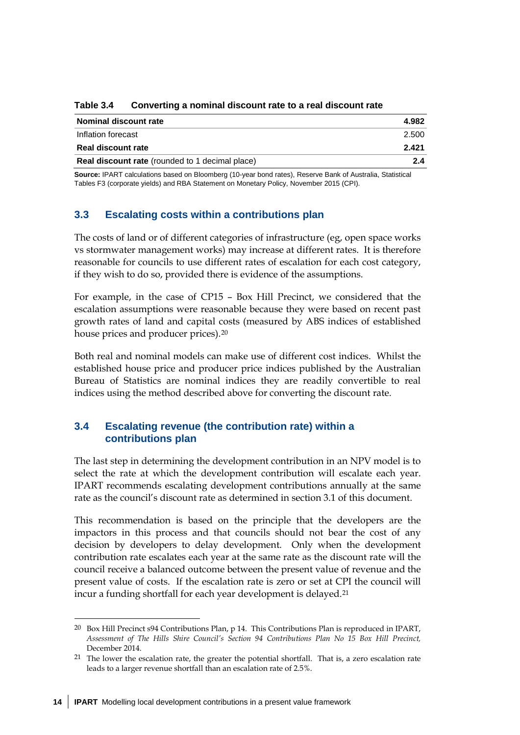| Nominal discount rate                                  | 4.982 |  |
|--------------------------------------------------------|-------|--|
| Inflation forecast                                     | 2.500 |  |
| Real discount rate                                     | 2.421 |  |
| <b>Real discount rate</b> (rounded to 1 decimal place) | 24    |  |

**Table 3.4 Converting a nominal discount rate to a real discount rate**

**Source:** IPART calculations based on Bloomberg (10-year bond rates), Reserve Bank of Australia, Statistical Tables F3 (corporate yields) and RBA Statement on Monetary Policy, November 2015 (CPI).

## **3.3 Escalating costs within a contributions plan**

The costs of land or of different categories of infrastructure (eg, open space works vs stormwater management works) may increase at different rates. It is therefore reasonable for councils to use different rates of escalation for each cost category, if they wish to do so, provided there is evidence of the assumptions.

For example, in the case of CP15 – Box Hill Precinct, we considered that the escalation assumptions were reasonable because they were based on recent past growth rates of land and capital costs (measured by ABS indices of established house prices and producer prices).[20](#page-19-1)

Both real and nominal models can make use of different cost indices. Whilst the established house price and producer price indices published by the Australian Bureau of Statistics are nominal indices they are readily convertible to real indices using the method described above for converting the discount rate.

## <span id="page-19-0"></span>**3.4 Escalating revenue (the contribution rate) within a contributions plan**

The last step in determining the development contribution in an NPV model is to select the rate at which the development contribution will escalate each year. IPART recommends escalating development contributions annually at the same rate as the council's discount rate as determined in section 3.1 of this document.

This recommendation is based on the principle that the developers are the impactors in this process and that councils should not bear the cost of any decision by developers to delay development. Only when the development contribution rate escalates each year at the same rate as the discount rate will the council receive a balanced outcome between the present value of revenue and the present value of costs. If the escalation rate is zero or set at CPI the council will incur a funding shortfall for each year development is delayed.[21](#page-19-2)

<u>.</u>

<span id="page-19-1"></span><sup>20</sup> Box Hill Precinct s94 Contributions Plan, p 14. This Contributions Plan is reproduced in IPART, *Assessment of The Hills Shire Council's Section 94 Contributions Plan No 15 Box Hill Precinct,* December 2014.

<span id="page-19-2"></span><sup>21</sup> The lower the escalation rate, the greater the potential shortfall. That is, a zero escalation rate leads to a larger revenue shortfall than an escalation rate of 2.5%.